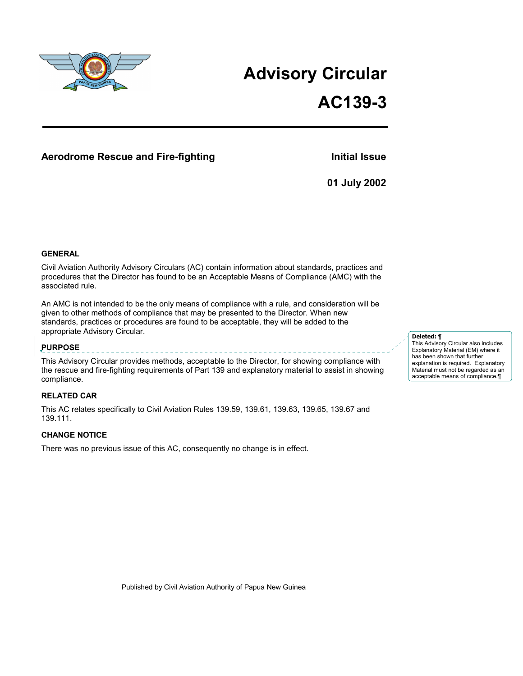

# **Advisory Circular AC139-3**

### Aerodrome Rescue and Fire-fighting **Initial Issue Initial** Issue

**01 July 2002** 

#### **GENERAL**

Civil Aviation Authority Advisory Circulars (AC) contain information about standards, practices and procedures that the Director has found to be an Acceptable Means of Compliance (AMC) with the associated rule.

An AMC is not intended to be the only means of compliance with a rule, and consideration will be given to other methods of compliance that may be presented to the Director. When new standards, practices or procedures are found to be acceptable, they will be added to the appropriate Advisory Circular.

#### **PURPOSE**

This Advisory Circular provides methods, acceptable to the Director, for showing compliance with the rescue and fire-fighting requirements of Part 139 and explanatory material to assist in showing compliance.

#### **RELATED CAR**

This AC relates specifically to Civil Aviation Rules 139.59, 139.61, 139.63, 139.65, 139.67 and 139.111.

#### **CHANGE NOTICE**

There was no previous issue of this AC, consequently no change is in effect.

#### **Deleted:** ¶

This Advisory Circular also includes Explanatory Material (EM) where it has been shown that further explanation is required. Explanatory Material must not be regarded as an acceptable means of compliance.¶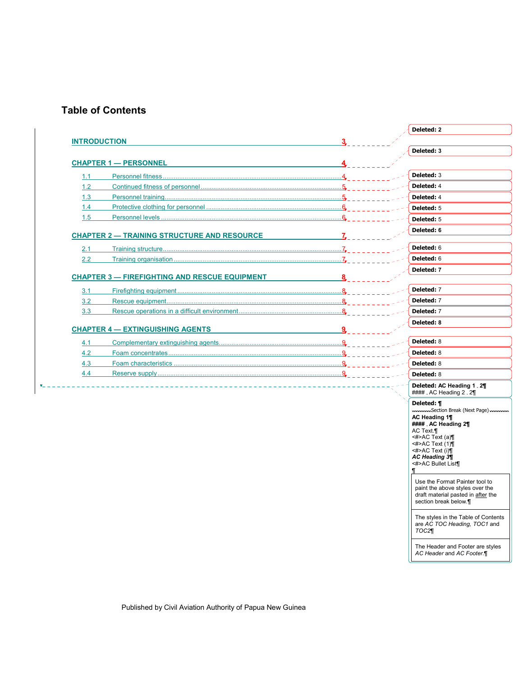## **Table of Contents**

 $\overline{\mathbf{v}} = \mathbf{v} = \mathbf{v} = \mathbf{v} = \mathbf{v}$ 

|                     |                                                      |    | Deleted: 2                                                                                                                                                                                                                                                                                                                                               |
|---------------------|------------------------------------------------------|----|----------------------------------------------------------------------------------------------------------------------------------------------------------------------------------------------------------------------------------------------------------------------------------------------------------------------------------------------------------|
| <b>INTRODUCTION</b> |                                                      |    |                                                                                                                                                                                                                                                                                                                                                          |
|                     |                                                      |    | Deleted: 3                                                                                                                                                                                                                                                                                                                                               |
|                     | <b>CHAPTER 1 — PERSONNEL</b>                         |    |                                                                                                                                                                                                                                                                                                                                                          |
| $1.1 -$             |                                                      |    | Deleted: 3                                                                                                                                                                                                                                                                                                                                               |
| 1.2                 |                                                      |    | Deleted: 4                                                                                                                                                                                                                                                                                                                                               |
| 1.3                 |                                                      |    | Deleted: 4                                                                                                                                                                                                                                                                                                                                               |
| 1.4                 |                                                      |    | <b>Deleted:</b> 5                                                                                                                                                                                                                                                                                                                                        |
| 1.5                 |                                                      |    | Deleted: 5                                                                                                                                                                                                                                                                                                                                               |
|                     |                                                      |    | Deleted: 6                                                                                                                                                                                                                                                                                                                                               |
|                     | <b>CHAPTER 2 — TRAINING STRUCTURE AND RESOURCE</b>   |    |                                                                                                                                                                                                                                                                                                                                                          |
| 2.1                 |                                                      |    | Deleted: 6                                                                                                                                                                                                                                                                                                                                               |
| 2.2                 |                                                      |    | Deleted: 6                                                                                                                                                                                                                                                                                                                                               |
|                     |                                                      |    | Deleted: 7                                                                                                                                                                                                                                                                                                                                               |
|                     | <b>CHAPTER 3 — FIREFIGHTING AND RESCUE EQUIPMENT</b> | 8. |                                                                                                                                                                                                                                                                                                                                                          |
| 3.1                 |                                                      |    | Deleted: 7                                                                                                                                                                                                                                                                                                                                               |
| 3.2                 |                                                      |    | Deleted: 7                                                                                                                                                                                                                                                                                                                                               |
| 3.3 <sub>2</sub>    |                                                      |    | Deleted: 7                                                                                                                                                                                                                                                                                                                                               |
|                     |                                                      |    | Deleted: 8                                                                                                                                                                                                                                                                                                                                               |
|                     | <b>CHAPTER 4 — EXTINGUISHING AGENTS</b>              |    |                                                                                                                                                                                                                                                                                                                                                          |
| 4.1                 |                                                      |    | Deleted: 8                                                                                                                                                                                                                                                                                                                                               |
| 4.2                 |                                                      |    | <b>Deleted: 8</b>                                                                                                                                                                                                                                                                                                                                        |
| 4.3                 |                                                      |    | Deleted: 8                                                                                                                                                                                                                                                                                                                                               |
| 4.4                 |                                                      |    | Deleted: 8                                                                                                                                                                                                                                                                                                                                               |
|                     |                                                      |    | Deleted: AC Heading 1 21<br>#### . AC Heading 2 . 2¶                                                                                                                                                                                                                                                                                                     |
|                     |                                                      |    | Deleted: ¶<br>www.Section Break (Next Page)<br><b>AC Heading 1¶</b><br>#### . AC Heading 2¶<br>AC Text.¶<br><#>AC Text (a)<br>$\leq$ #>AC Text (1)¶<br><#>AC Text (i)¶<br><b>AC Heading 3¶</b><br><#>AC Bullet List¶<br>Use the Format Painter tool to<br>paint the above styles over the<br>draft material pasted in after the<br>section break below.¶ |

The styles in the Table of Contents are *AC TOC Heading, TOC1* and *TOC2*¶

The Header and Footer are styles *AC Header* and *AC Footer*.¶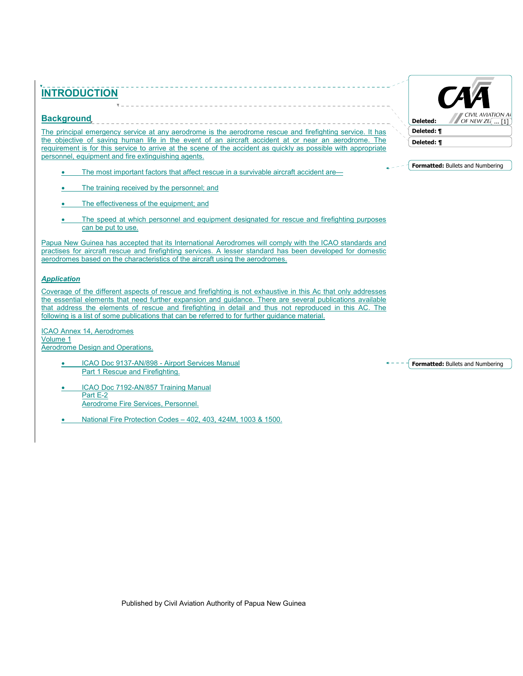# **INTRODUCTION**

#### **Background**

The principal emergency service at any aerodrome is the aerodrome rescue and firefighting service. It has the objective of saving human life in the event of an aircraft accident at or near an aerodrome. The requirement is for this service to arrive at the scene of the accident as quickly as possible with appropriate personnel, equipment and fire extinguishing agents.

- The most important factors that affect rescue in a survivable aircraft accident are-
- The training received by the personnel; and
- The effectiveness of the equipment; and
- The speed at which personnel and equipment designated for rescue and firefighting purposes can be put to use.

Papua New Guinea has accepted that its International Aerodromes will comply with the ICAO standards and practises for aircraft rescue and firefighting services. A lesser standard has been developed for domestic aerodromes based on the characteristics of the aircraft using the aerodromes.

#### *Application*

Coverage of the different aspects of rescue and firefighting is not exhaustive in this Ac that only addresses the essential elements that need further expansion and guidance. There are several publications available that address the elements of rescue and firefighting in detail and thus not reproduced in this AC. The following is a list of some publications that can be referred to for further guidance material.

ICAO Annex 14, Aerodromes Volume 1 Aerodrome Design and Operations.

- ICAO Doc 9137-AN/898 Airport Services Manual Part 1 Rescue and Firefighting.
- ICAO Doc 7192-AN/857 Training Manual Part E-2 Aerodrome Fire Services, Personnel.
- National Fire Protection Codes 402, 403, 424M, 1003 & 1500.

**IVIL AVIATION AL** OF NEW ZE $\begin{bmatrix} \dots \end{bmatrix}$ **Deleted: Deleted: ¶ Deleted:** *¶*

**Formatted:** Bullets and Numbering

**Formatted:** Bullets and Numbering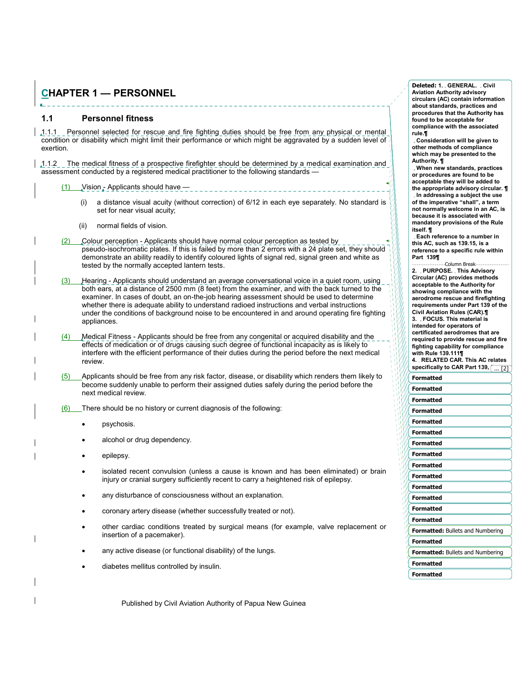## **CHAPTER 1 — PERSONNEL**

#### **1.1 Personnel fitness**

1.1.1 Personnel selected for rescue and fire fighting duties should be free from any physical or mental condition or disability which might limit their performance or which might be aggravated by a sudden level of exertion.

1.1.2 The medical fitness of a prospective firefighter should be determined by a medical examination and assessment conducted by a registered medical practitioner to the following standards —

- (1) Vision Applicants should have
	- (i) a distance visual acuity (without correction) of 6/12 in each eye separately. No standard is set for near visual acuity;
	- (ii) normal fields of vision.
- (2) Colour perception Applicants should have normal colour perception as tested by pseudo-isochromatic plates. If this is failed by more than 2 errors with a 24 plate set, they should demonstrate an ability readily to identify coloured lights of signal red, signal green and white as tested by the normally accepted lantern tests.
- (3) Hearing Applicants should understand an average conversational voice in a quiet room, using both ears, at a distance of 2500 mm (8 feet) from the examiner, and with the back turned to the examiner. In cases of doubt, an on-the-job hearing assessment should be used to determine whether there is adequate ability to understand radioed instructions and verbal instructions under the conditions of background noise to be encountered in and around operating fire fighting appliances.
- (4) Medical Fitness Applicants should be free from any congenital or acquired disability and the effects of medication or of drugs causing such degree of functional incapacity as is likely to interfere with the efficient performance of their duties during the period before the next medical review.
- (5) Applicants should be free from any risk factor, disease, or disability which renders them likely to become suddenly unable to perform their assigned duties safely during the period before the next medical review.
- (6) There should be no history or current diagnosis of the following:
	- psychosis.
	- alcohol or drug dependency.
	- epilepsy.
	- isolated recent convulsion (unless a cause is known and has been eliminated) or brain injury or cranial surgery sufficiently recent to carry a heightened risk of epilepsy.
	- any disturbance of consciousness without an explanation.
	- coronary artery disease (whether successfully treated or not).
	- other cardiac conditions treated by surgical means (for example, valve replacement or insertion of a pacemaker).
	- any active disease (or functional disability) of the lungs.
	- diabetes mellitus controlled by insulin.

**Deleted: 1. GENERAL. Civil Aviation Authority advisory circulars (AC) contain information about standards, practices and procedures that the Authority has found to be acceptable for compliance with the associated rule.¶**

**Consideration will be given to other methods of compliance which may be presented to the Authority. ¶**

**When new standards, practices or procedures are found to be acceptable they will be added to the appropriate advisory circular. ¶ In addressing a subject the use of the imperative "shall", a term not normally welcome in an AC, is because it is associated with mandatory provisions of the Rule itself. ¶**

**Each reference to a number in this AC, such as 139.15, is a reference to a specific rule within Part 139¶**

................ Column Break........... **2. PURPOSE. This Advisory Circular (AC) provides methods acceptable to the Authority for showing compliance with the aerodrome rescue and firefighting requirements under Part 139 of the Civil Aviation Rules (CAR).¶ 3. FOCUS. This material is intended for operators of certificated aerodromes that are required to provide rescue and fire fighting capability for compliance with Rule 139.111¶ 4. RELATED CAR. This AC relates specifically to CAR Part 139, [16]** 

| <b>Formatted</b>                 |
|----------------------------------|
| Formatted                        |
| <b>Formatted</b>                 |
| <b>Formatted</b>                 |
| Formatted                        |
| <b>Formatted</b>                 |
| Formatted                        |
| <b>Formatted</b>                 |
| <b>Formatted</b>                 |
| <b>Formatted</b>                 |
| Formatted                        |
| <b>Formatted</b>                 |
| <b>Formatted</b>                 |
| Formatted                        |
| Formatted: Bullets and Numbering |
| Formatted                        |
| Formatted: Bullets and Numbering |
| Formatted                        |
| Formatted                        |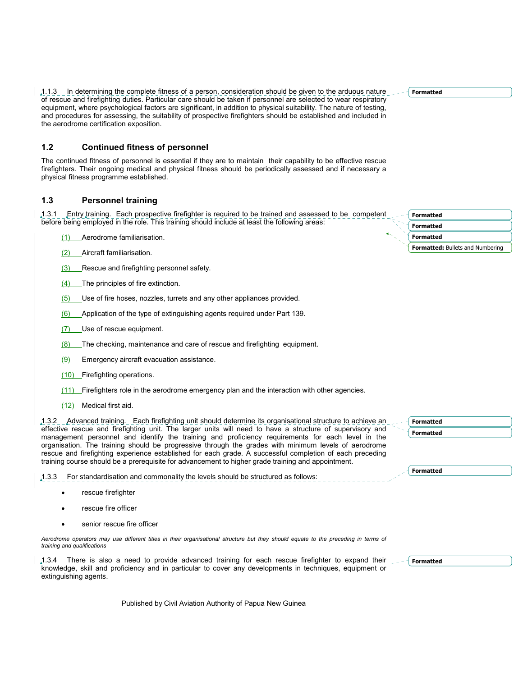1.1.3 In determining the complete fitness of a person, consideration should be given to the arduous nature of rescue and firefighting duties. Particular care should be taken if personnel are selected to wear respiratory equipment, where psychological factors are significant, in addition to physical suitability. The nature of testing, and procedures for assessing, the suitability of prospective firefighters should be established and included in the aerodrome certification exposition.

#### **1.2 Continued fitness of personnel**

The continued fitness of personnel is essential if they are to maintain their capability to be effective rescue firefighters. Their ongoing medical and physical fitness should be periodically assessed and if necessary a physical fitness programme established.

#### **1.3 Personnel training**

1.3.1 Entry training. Each prospective firefighter is required to be trained and assessed to be competent before being employed in the role. This training should include at least the following areas:

- (1) Aerodrome familiarisation.
- (2) Aircraft familiarisation.
- (3) Rescue and firefighting personnel safety.
- (4) The principles of fire extinction.
- (5) Use of fire hoses, nozzles, turrets and any other appliances provided.
- (6) Application of the type of extinguishing agents required under Part 139.
- (7) Use of rescue equipment.
- The checking, maintenance and care of rescue and firefighting equipment.
- Emergency aircraft evacuation assistance.
- (10) Firefighting operations.
- (11) Firefighters role in the aerodrome emergency plan and the interaction with other agencies.
- (12) Medical first aid.

1.3.2 Advanced training. Each firefighting unit should determine its organisational structure to achieve an effective rescue and firefighting unit. The larger units will need to have a structure of supervisory and management personnel and identify the training and proficiency requirements for each level in the organisation. The training should be progressive through the grades with minimum levels of aerodrome rescue and firefighting experience established for each grade. A successful completion of each preceding training course should be a prerequisite for advancement to higher grade training and appointment.

1.3.3 For standardisation and commonality the levels should be structured as follows:

- rescue firefighter
- rescue fire officer
- senior rescue fire officer

*Aerodrome operators may use different titles in their organisational structure but they should equate to the preceding in terms of training and qualifications*

1.3.4 There is also a need to provide advanced training for each rescue firefighter to expand their knowledge, skill and proficiency and in particular to cover any developments in techniques, equipment or extinguishing agents.

**Formatted**

**Formatted Formatted**

**Formatted**

**Formatted Formatted Formatted Formatted:** Bullets and Numbering

**Formatted**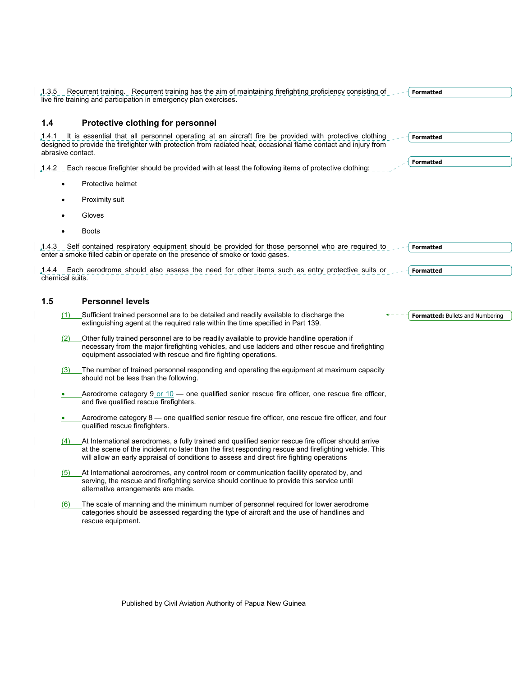| 1.3.5  |                   | Recurrent training. Recurrent training has the aim of maintaining firefighting proficiency consisting of                                                                                           |                                  |
|--------|-------------------|----------------------------------------------------------------------------------------------------------------------------------------------------------------------------------------------------|----------------------------------|
|        |                   | live fire training and participation in emergency plan exercises.                                                                                                                                  | <b>Formatted</b>                 |
|        |                   |                                                                                                                                                                                                    |                                  |
| 1.4    |                   | Protective clothing for personnel                                                                                                                                                                  |                                  |
| .1.4.1 |                   | It is essential that all personnel operating at an aircraft fire be provided with protective clothing                                                                                              | <b>Formatted</b>                 |
|        | abrasive contact. | designed to provide the firefighter with protection from radiated heat, occasional flame contact and injury from                                                                                   |                                  |
|        |                   |                                                                                                                                                                                                    | <b>Formatted</b>                 |
| 1.4.2  |                   | Each rescue firefighter should be provided with at least the following items of protective clothing:                                                                                               |                                  |
|        |                   | Protective helmet                                                                                                                                                                                  |                                  |
|        |                   | Proximity suit                                                                                                                                                                                     |                                  |
|        |                   | Gloves                                                                                                                                                                                             |                                  |
|        |                   | <b>Boots</b>                                                                                                                                                                                       |                                  |
|        |                   |                                                                                                                                                                                                    |                                  |
|        |                   | 1.4.3 Self contained respiratory equipment should be provided for those personnel who are required to<br>enter a smoke filled cabin or operate on the presence of smoke or toxic gases.            | <b>Formatted</b>                 |
| 1.4.4  |                   | Each aerodrome should also assess the need for other items such as entry protective suits or                                                                                                       | <b>Formatted</b>                 |
|        | chemical suits.   |                                                                                                                                                                                                    |                                  |
|        |                   |                                                                                                                                                                                                    |                                  |
| 1.5    |                   | <b>Personnel levels</b>                                                                                                                                                                            |                                  |
|        |                   |                                                                                                                                                                                                    |                                  |
|        | (1)               | Sufficient trained personnel are to be detailed and readily available to discharge the<br>extinguishing agent at the required rate within the time specified in Part 139.                          | Formatted: Bullets and Numbering |
|        | (2)               | Other fully trained personnel are to be readily available to provide handline operation if                                                                                                         |                                  |
|        |                   | necessary from the major firefighting vehicles, and use ladders and other rescue and firefighting<br>equipment associated with rescue and fire fighting operations.                                |                                  |
|        | (3)               | The number of trained personnel responding and operating the equipment at maximum capacity                                                                                                         |                                  |
|        |                   | should not be less than the following.                                                                                                                                                             |                                  |
|        |                   | Aerodrome category 9 or $10$ — one qualified senior rescue fire officer, one rescue fire officer,                                                                                                  |                                  |
|        |                   | and five qualified rescue firefighters.                                                                                                                                                            |                                  |
|        |                   | Aerodrome category 8 — one qualified senior rescue fire officer, one rescue fire officer, and four<br>qualified rescue firefighters.                                                               |                                  |
|        | (4)               | At International aerodromes, a fully trained and qualified senior rescue fire officer should arrive                                                                                                |                                  |
|        |                   | at the scene of the incident no later than the first responding rescue and firefighting vehicle. This<br>will allow an early appraisal of conditions to assess and direct fire fighting operations |                                  |
|        | (5)               | At International aerodromes, any control room or communication facility operated by, and                                                                                                           |                                  |
|        |                   | serving, the rescue and firefighting service should continue to provide this service until<br>alternative arrangements are made.                                                                   |                                  |
|        | (6)               | The scale of manning and the minimum number of personnel required for lower aerodrome<br>categories should be assessed regarding the type of aircraft and the use of handlines and                 |                                  |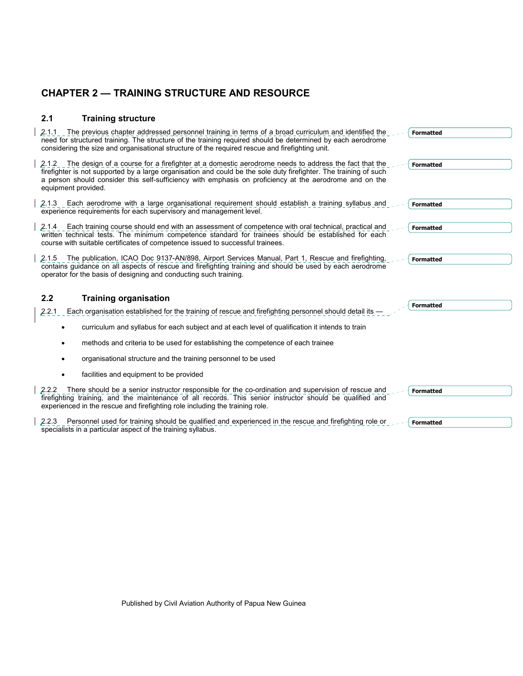## **CHAPTER 2 — TRAINING STRUCTURE AND RESOURCE**

## **2.1 Training structure**

 $\overline{a}$ 

| 2.1.1 The previous chapter addressed personnel training in terms of a broad curriculum and identified the<br>need for structured training. The structure of the training required should be determined by each aerodrome<br>considering the size and organisational structure of the required rescue and firefighting unit.                                         | <b>Formatted</b> |
|---------------------------------------------------------------------------------------------------------------------------------------------------------------------------------------------------------------------------------------------------------------------------------------------------------------------------------------------------------------------|------------------|
| The design of a course for a firefighter at a domestic aerodrome needs to address the fact that the<br>2.1.2<br>firefighter is not supported by a large organisation and could be the sole duty firefighter. The training of such<br>a person should consider this self-sufficiency with emphasis on proficiency at the aerodrome and on the<br>equipment provided. | <b>Formatted</b> |
| 2.1.3 Each aerodrome with a large organisational requirement should establish a training syllabus and<br>experience requirements for each supervisory and management level.                                                                                                                                                                                         | <b>Formatted</b> |
| 2.1.4 Each training course should end with an assessment of competence with oral technical, practical and<br>written technical tests. The minimum competence standard for trainees should be established for each<br>course with suitable certificates of competence issued to successful trainees.                                                                 | <b>Formatted</b> |
| 2.1.5 The publication, ICAO Doc 9137-AN/898, Airport Services Manual, Part 1, Rescue and firefighting,<br>contains guidance on all aspects of rescue and firefighting training and should be used by each aerodrome<br>operator for the basis of designing and conducting such training.                                                                            | <b>Formatted</b> |
|                                                                                                                                                                                                                                                                                                                                                                     |                  |
| 2.2<br><b>Training organisation</b>                                                                                                                                                                                                                                                                                                                                 |                  |
| 2.2.1<br>Each organisation established for the training of rescue and firefighting personnel should detail its -                                                                                                                                                                                                                                                    | <b>Formatted</b> |
| curriculum and syllabus for each subject and at each level of qualification it intends to train                                                                                                                                                                                                                                                                     |                  |
| methods and criteria to be used for establishing the competence of each trainee                                                                                                                                                                                                                                                                                     |                  |
| organisational structure and the training personnel to be used                                                                                                                                                                                                                                                                                                      |                  |
| facilities and equipment to be provided<br>٠                                                                                                                                                                                                                                                                                                                        |                  |
| There should be a senior instructor responsible for the co-ordination and supervision of rescue and<br>2.2.2<br>firefighting training, and the maintenance of all records. This senior instructor should be qualified and<br>experienced in the rescue and firefighting role including the training role.                                                           | <b>Formatted</b> |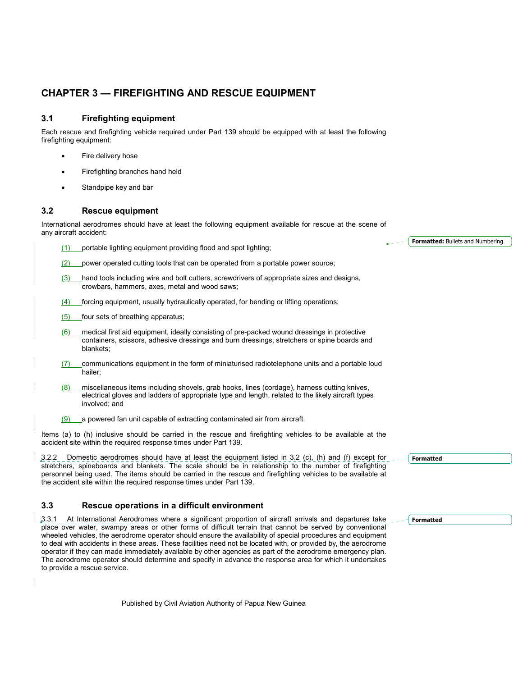## **CHAPTER 3 — FIREFIGHTING AND RESCUE EQUIPMENT**

#### **3.1 Firefighting equipment**

Each rescue and firefighting vehicle required under Part 139 should be equipped with at least the following firefighting equipment:

- Fire delivery hose
- Firefighting branches hand held
- Standpipe key and bar

#### **3.2 Rescue equipment**

International aerodromes should have at least the following equipment available for rescue at the scene of any aircraft accident:

- (1) portable lighting equipment providing flood and spot lighting;
- \_power operated cutting tools that can be operated from a portable power source;
- (3) hand tools including wire and bolt cutters, screwdrivers of appropriate sizes and designs, crowbars, hammers, axes, metal and wood saws;
- (4) forcing equipment, usually hydraulically operated, for bending or lifting operations;
- (5) four sets of breathing apparatus;
- (6) medical first aid equipment, ideally consisting of pre-packed wound dressings in protective containers, scissors, adhesive dressings and burn dressings, stretchers or spine boards and blankets;
- (7) communications equipment in the form of miniaturised radiotelephone units and a portable loud hailer;
- (8) miscellaneous items including shovels, grab hooks, lines (cordage), harness cutting knives, electrical gloves and ladders of appropriate type and length, related to the likely aircraft types involved; and
- (9) a powered fan unit capable of extracting contaminated air from aircraft.

Items (a) to (h) inclusive should be carried in the rescue and firefighting vehicles to be available at the accident site within the required response times under Part 139.

3.2.2 Domestic aerodromes should have at least the equipment listed in 3.2 (c), (h) and (f) except for stretchers, spineboards and blankets. The scale should be in relationship to the number of firefighting personnel being used. The items should be carried in the rescue and firefighting vehicles to be available at the accident site within the required response times under Part 139.

#### **3.3 Rescue operations in a difficult environment**

3.3.1 At International Aerodromes where a significant proportion of aircraft arrivals and departures take place over water, swampy areas or other forms of difficult terrain that cannot be served by conventional wheeled vehicles, the aerodrome operator should ensure the availability of special procedures and equipment to deal with accidents in these areas. These facilities need not be located with, or provided by, the aerodrome operator if they can made immediately available by other agencies as part of the aerodrome emergency plan. The aerodrome operator should determine and specify in advance the response area for which it undertakes to provide a rescue service.

**Formatted:** Bullets and Numbering

**Formatted**

**Formatted**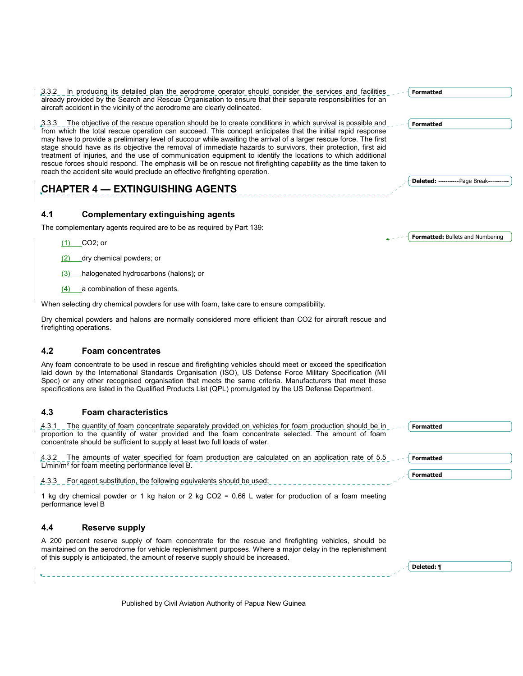3.3.2 In producing its detailed plan the aerodrome operator should consider the services and facilities already provided by the Search and Rescue Organisation to ensure that their separate responsibilities for an aircraft accident in the vicinity of the aerodrome are clearly delineated.

3.3.3 The objective of the rescue operation should be to create conditions in which survival is possible and from which the total rescue operation can succeed. This concept anticipates that the initial rapid response may have to provide a preliminary level of succour while awaiting the arrival of a larger rescue force. The first stage should have as its objective the removal of immediate hazards to survivors, their protection, first aid treatment of injuries, and the use of communication equipment to identify the locations to which additional rescue forces should respond. The emphasis will be on rescue not firefighting capability as the time taken to reach the accident site would preclude an effective firefighting operation.

## **CHAPTER 4 — EXTINGUISHING AGENTS**

#### **4.1 Complementary extinguishing agents**

The complementary agents required are to be as required by Part 139:

- (1) CO2; or
- (2) dry chemical powders; or
- (3) halogenated hydrocarbons (halons); or
- (4) a combination of these agents.

When selecting dry chemical powders for use with foam, take care to ensure compatibility.

Dry chemical powders and halons are normally considered more efficient than CO2 for aircraft rescue and firefighting operations.

#### **4.2 Foam concentrates**

Any foam concentrate to be used in rescue and firefighting vehicles should meet or exceed the specification laid down by the International Standards Organisation (ISO), US Defense Force Military Specification (Mil Spec) or any other recognised organisation that meets the same criteria. Manufacturers that meet these specifications are listed in the Qualified Products List (QPL) promulgated by the US Defense Department.

#### **4.3 Foam characteristics**

4.3.1 The quantity of foam concentrate separately provided on vehicles for foam production should be in proportion to the quantity of water provided and the foam concentrate selected. The amount of foam concentrate should be sufficient to supply at least two full loads of water.

4.3.2 The amounts of water specified for foam production are calculated on an application rate of 5.5 L/min/m² for foam meeting performance level B.

4.3.3 For agent substitution, the following equivalents should be used;

1 kg dry chemical powder or 1 kg halon or 2 kg CO2 = 0.66 L water for production of a foam meeting performance level B

#### **4.4 Reserve supply**

A 200 percent reserve supply of foam concentrate for the rescue and firefighting vehicles, should be maintained on the aerodrome for vehicle replenishment purposes. Where a major delay in the replenishment of this supply is anticipated, the amount of reserve supply should be increased.

**Deleted:** ¶

**Formatted**

**Formatted Formatted**

Published by Civil Aviation Authority of Papua New Guinea

**Deleted:** .............. Page Break ............

**Formatted**

**Formatted**

**Formatted:** Bullets and Numbering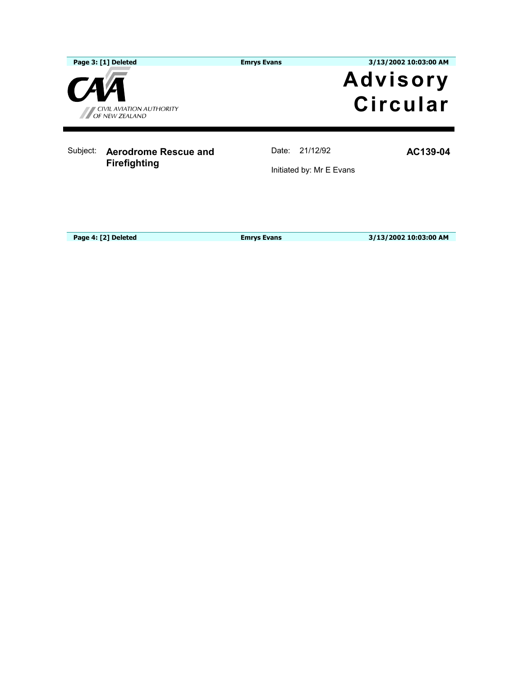

Subject: **Aerodrome Rescue and Firefighting** 

Date: 21/12/92

Initiated by: Mr E Evans

**AC139-04**

**Page 4: [2] Deleted Emrys Evans Example 2016** 213/2002 10:03:00 AM **Page 4:** [2] Deleted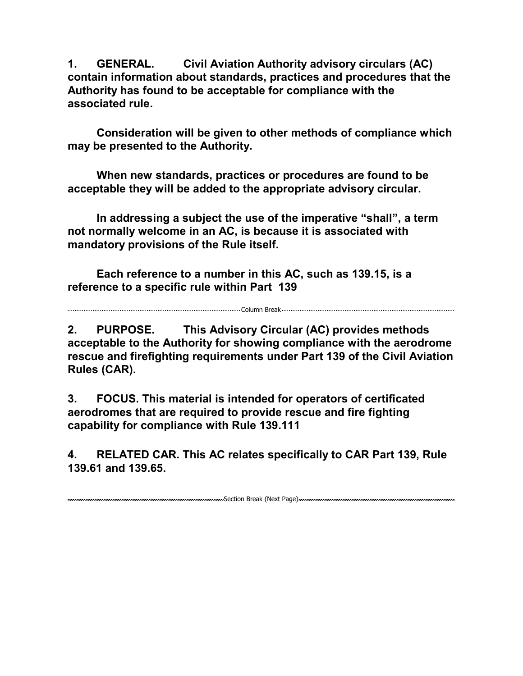**1. GENERAL. Civil Aviation Authority advisory circulars (AC) contain information about standards, practices and procedures that the Authority has found to be acceptable for compliance with the associated rule.** 

 **Consideration will be given to other methods of compliance which may be presented to the Authority.** 

 **When new standards, practices or procedures are found to be acceptable they will be added to the appropriate advisory circular.** 

 **In addressing a subject the use of the imperative "shall", a term not normally welcome in an AC, is because it is associated with mandatory provisions of the Rule itself.** 

 **Each reference to a number in this AC, such as 139.15, is a reference to a specific rule within Part 139** 

**2. PURPOSE. This Advisory Circular (AC) provides methods acceptable to the Authority for showing compliance with the aerodrome** 

....Column Break.......

**rescue and firefighting requirements under Part 139 of the Civil Aviation Rules (CAR).** 

**3. FOCUS. This material is intended for operators of certificated aerodromes that are required to provide rescue and fire fighting capability for compliance with Rule 139.111** 

**4. RELATED CAR. This AC relates specifically to CAR Part 139, Rule 139.61 and 139.65.** 

www.www.www.www.www.www.www.Section Break (Next Page)www.www.www.www.www.www.www.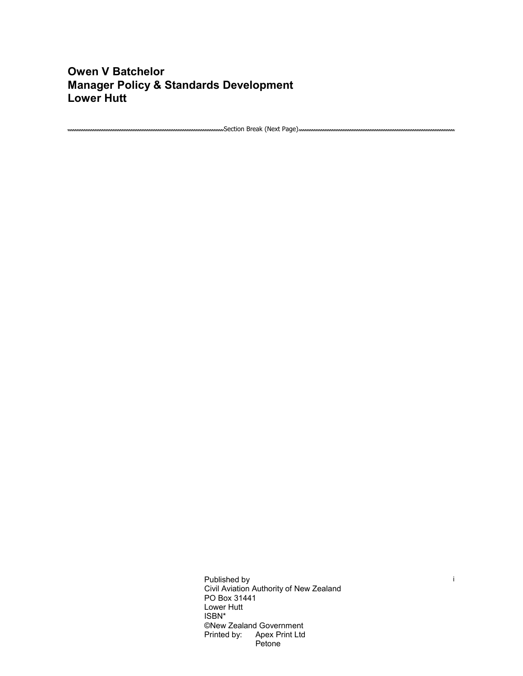## **Owen V Batchelor Manager Policy & Standards Development Lower Hutt**

www.www.www.www.Section Break (Next Page)www.www.www.ww

Published by Civil Aviation Authority of New Zealand PO Box 31441 Lower Hutt ISBN\* ©New Zealand Government Printed by: Apex Print Ltd **Petone**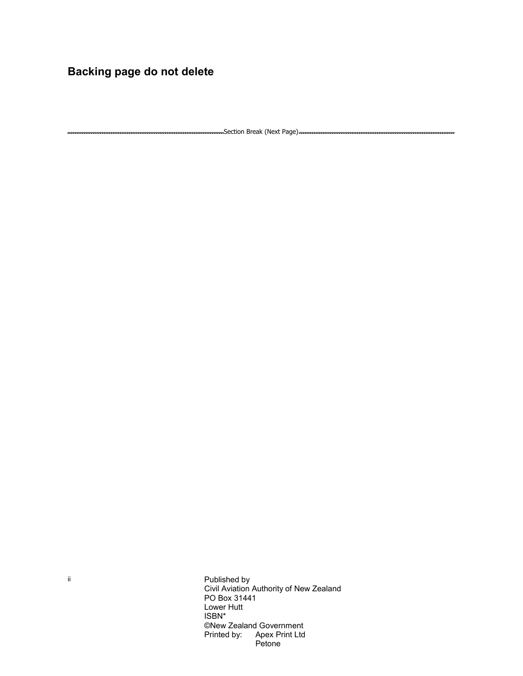**Backing page do not delete** 

ii

Section Break (Next Page)

Published by Civil Aviation Authority of New Zealand PO Box 31441 Lower Hutt ISBN\* ©New Zealand Government Printed by: Apex Print Ltd Petone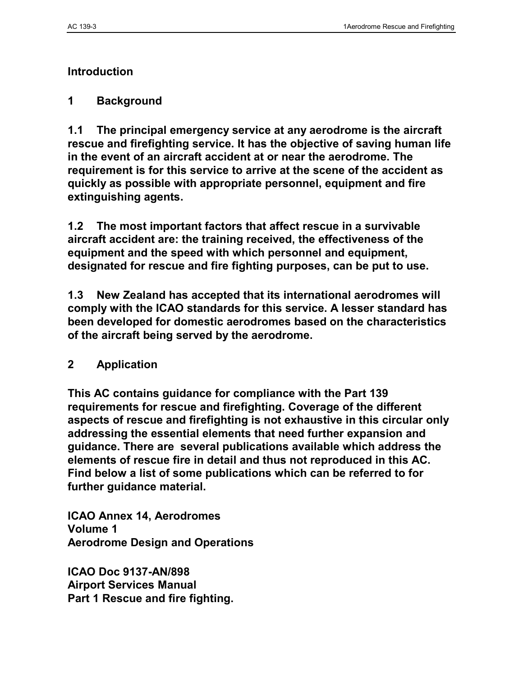## **Introduction**

## **1 Background**

**1.1 The principal emergency service at any aerodrome is the aircraft rescue and firefighting service. It has the objective of saving human life in the event of an aircraft accident at or near the aerodrome. The requirement is for this service to arrive at the scene of the accident as quickly as possible with appropriate personnel, equipment and fire extinguishing agents.** 

**1.2 The most important factors that affect rescue in a survivable aircraft accident are: the training received, the effectiveness of the equipment and the speed with which personnel and equipment, designated for rescue and fire fighting purposes, can be put to use.** 

**1.3 New Zealand has accepted that its international aerodromes will comply with the ICAO standards for this service. A lesser standard has been developed for domestic aerodromes based on the characteristics of the aircraft being served by the aerodrome.** 

## **2 Application**

**This AC contains guidance for compliance with the Part 139 requirements for rescue and firefighting. Coverage of the different aspects of rescue and firefighting is not exhaustive in this circular only addressing the essential elements that need further expansion and guidance. There are several publications available which address the elements of rescue fire in detail and thus not reproduced in this AC. Find below a list of some publications which can be referred to for further guidance material.** 

**ICAO Annex 14, Aerodromes Volume 1 Aerodrome Design and Operations** 

**ICAO Doc 9137-AN/898 Airport Services Manual Part 1 Rescue and fire fighting.**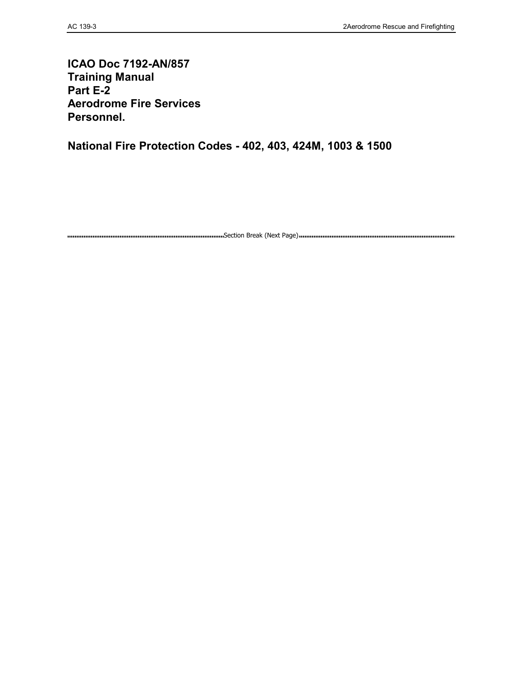**ICAO Doc 7192-AN/857 Training Manual Part E-2 Aerodrome Fire Services Personnel.** 

**National Fire Protection Codes - 402, 403, 424M, 1003 & 1500** 

Section Break (Next Page)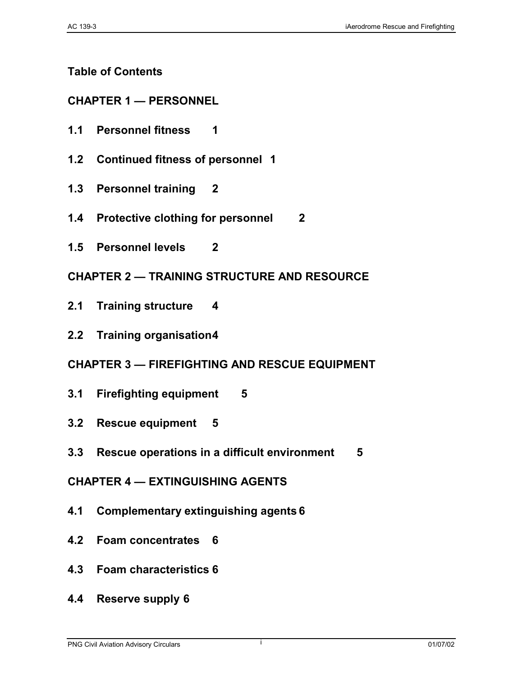## **Table of Contents**

## **CHAPTER 1 — PERSONNEL**

- **1.1 Personnel fitness 1**
- **1.2 Continued fitness of personnel 1**
- **1.3 Personnel training 2**
- **1.4 Protective clothing for personnel 2**
- **1.5 Personnel levels 2**

## **CHAPTER 2 — TRAINING STRUCTURE AND RESOURCE**

- **2.1 Training structure 4**
- **2.2 Training organisation 4**

## **CHAPTER 3 — FIREFIGHTING AND RESCUE EQUIPMENT**

- **3.1 Firefighting equipment 5**
- **3.2 Rescue equipment 5**
- **3.3 Rescue operations in a difficult environment 5**

## **CHAPTER 4 — EXTINGUISHING AGENTS**

- **4.1 Complementary extinguishing agents 6**
- **4.2 Foam concentrates 6**
- **4.3 Foam characteristics 6**
- **4.4 Reserve supply 6**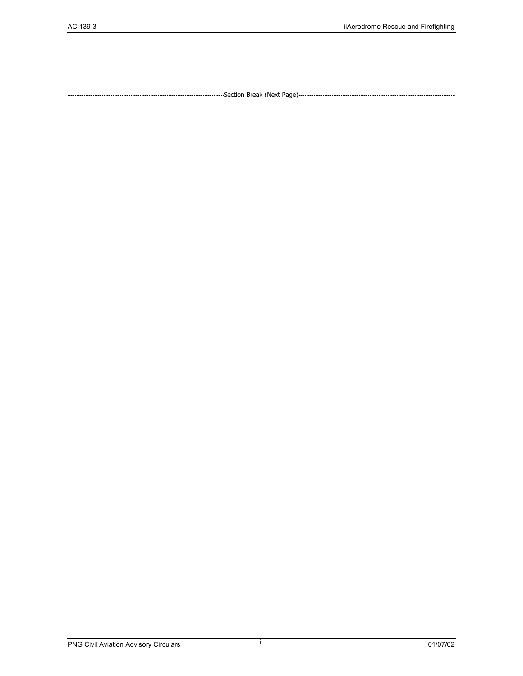Section Break (Next Page)